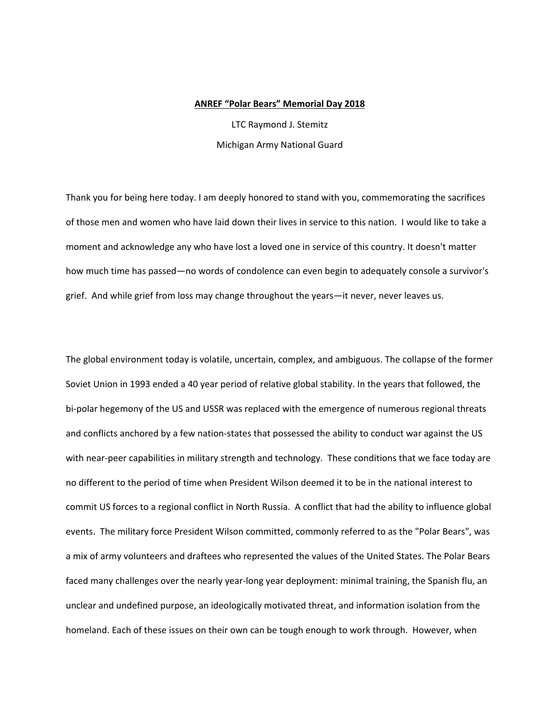## **ANREF "Polar Bears" Memorial Day 2018**

LTC Raymond J. Stemitz Michigan Army National Guard

Thank you for being here today. I am deeply honored to stand with you, commemorating the sacrifices of those men and women who have laid down their lives in service to this nation. I would like to take a moment and acknowledge any who have lost a loved one in service of this country. It doesn't matter how much time has passed—no words of condolence can even begin to adequately console a survivor's grief. And while grief from loss may change throughout the years—it never, never leaves us.

The global environment today is volatile, uncertain, complex, and ambiguous. The collapse of the former Soviet Union in 1993 ended a 40 year period of relative global stability. In the years that followed, the bi-polar hegemony of the US and USSR was replaced with the emergence of numerous regional threats and conflicts anchored by a few nation-states that possessed the ability to conduct war against the US with near-peer capabilities in military strength and technology. These conditions that we face today are no different to the period of time when President Wilson deemed it to be in the national interest to commit US forces to a regional conflict in North Russia. A conflict that had the ability to influence global events. The military force President Wilson committed, commonly referred to as the "Polar Bears", was a mix of army volunteers and draftees who represented the values of the United States. The Polar Bears faced many challenges over the nearly year-long year deployment: minimal training, the Spanish flu, an unclear and undefined purpose, an ideologically motivated threat, and information isolation from the homeland. Each of these issues on their own can be tough enough to work through. However, when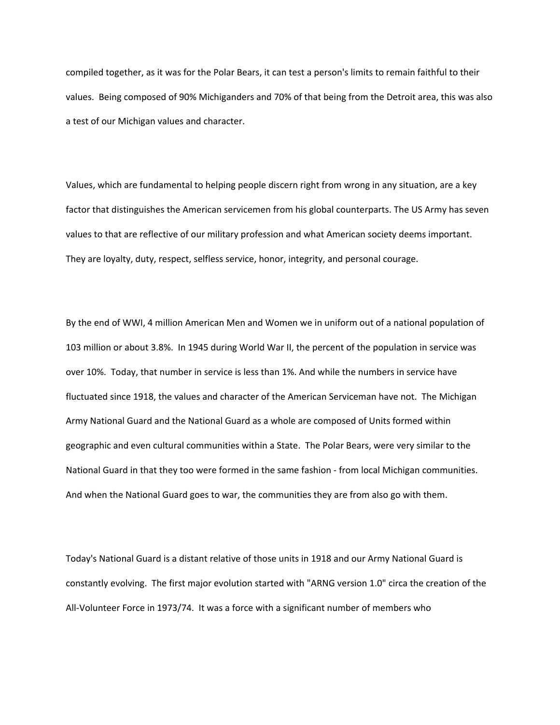compiled together, as it was for the Polar Bears, it can test a person's limits to remain faithful to their values. Being composed of 90% Michiganders and 70% of that being from the Detroit area, this was also a test of our Michigan values and character.

Values, which are fundamental to helping people discern right from wrong in any situation, are a key factor that distinguishes the American servicemen from his global counterparts. The US Army has seven values to that are reflective of our military profession and what American society deems important. They are loyalty, duty, respect, selfless service, honor, integrity, and personal courage.

By the end of WWI, 4 million American Men and Women we in uniform out of a national population of 103 million or about 3.8%. In 1945 during World War II, the percent of the population in service was over 10%. Today, that number in service is less than 1%. And while the numbers in service have fluctuated since 1918, the values and character of the American Serviceman have not. The Michigan Army National Guard and the National Guard as a whole are composed of Units formed within geographic and even cultural communities within a State. The Polar Bears, were very similar to the National Guard in that they too were formed in the same fashion ‐ from local Michigan communities. And when the National Guard goes to war, the communities they are from also go with them.

Today's National Guard is a distant relative of those units in 1918 and our Army National Guard is constantly evolving. The first major evolution started with "ARNG version 1.0" circa the creation of the All‐Volunteer Force in 1973/74. It was a force with a significant number of members who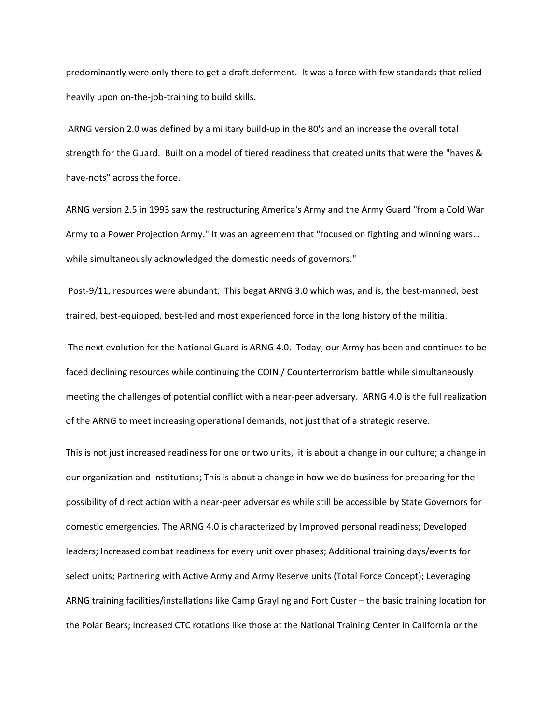predominantly were only there to get a draft deferment. It was a force with few standards that relied heavily upon on-the-job-training to build skills.

 ARNG version 2.0 was defined by a military build‐up in the 80's and an increase the overall total strength for the Guard. Built on a model of tiered readiness that created units that were the "haves & have‐nots" across the force.

ARNG version 2.5 in 1993 saw the restructuring America's Army and the Army Guard "from a Cold War Army to a Power Projection Army." It was an agreement that "focused on fighting and winning wars… while simultaneously acknowledged the domestic needs of governors."

Post-9/11, resources were abundant. This begat ARNG 3.0 which was, and is, the best-manned, best trained, best‐equipped, best‐led and most experienced force in the long history of the militia.

 The next evolution for the National Guard is ARNG 4.0. Today, our Army has been and continues to be faced declining resources while continuing the COIN / Counterterrorism battle while simultaneously meeting the challenges of potential conflict with a near-peer adversary. ARNG 4.0 is the full realization of the ARNG to meet increasing operational demands, not just that of a strategic reserve.

This is not just increased readiness for one or two units, it is about a change in our culture; a change in our organization and institutions; This is about a change in how we do business for preparing for the possibility of direct action with a near‐peer adversaries while still be accessible by State Governors for domestic emergencies. The ARNG 4.0 is characterized by Improved personal readiness; Developed leaders; Increased combat readiness for every unit over phases; Additional training days/events for select units; Partnering with Active Army and Army Reserve units (Total Force Concept); Leveraging ARNG training facilities/installations like Camp Grayling and Fort Custer – the basic training location for the Polar Bears; Increased CTC rotations like those at the National Training Center in California or the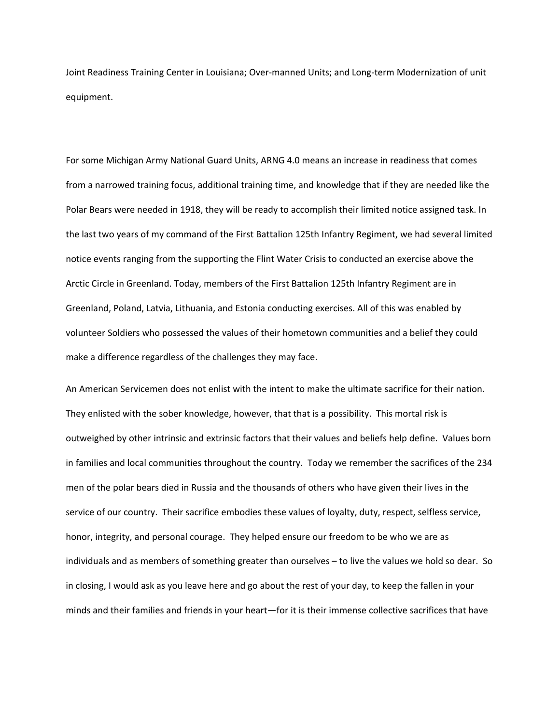Joint Readiness Training Center in Louisiana; Over‐manned Units; and Long‐term Modernization of unit equipment.

For some Michigan Army National Guard Units, ARNG 4.0 means an increase in readiness that comes from a narrowed training focus, additional training time, and knowledge that if they are needed like the Polar Bears were needed in 1918, they will be ready to accomplish their limited notice assigned task. In the last two years of my command of the First Battalion 125th Infantry Regiment, we had several limited notice events ranging from the supporting the Flint Water Crisis to conducted an exercise above the Arctic Circle in Greenland. Today, members of the First Battalion 125th Infantry Regiment are in Greenland, Poland, Latvia, Lithuania, and Estonia conducting exercises. All of this was enabled by volunteer Soldiers who possessed the values of their hometown communities and a belief they could make a difference regardless of the challenges they may face.

An American Servicemen does not enlist with the intent to make the ultimate sacrifice for their nation. They enlisted with the sober knowledge, however, that that is a possibility. This mortal risk is outweighed by other intrinsic and extrinsic factors that their values and beliefs help define. Values born in families and local communities throughout the country. Today we remember the sacrifices of the 234 men of the polar bears died in Russia and the thousands of others who have given their lives in the service of our country. Their sacrifice embodies these values of loyalty, duty, respect, selfless service, honor, integrity, and personal courage. They helped ensure our freedom to be who we are as individuals and as members of something greater than ourselves – to live the values we hold so dear. So in closing, I would ask as you leave here and go about the rest of your day, to keep the fallen in your minds and their families and friends in your heart—for it is their immense collective sacrifices that have